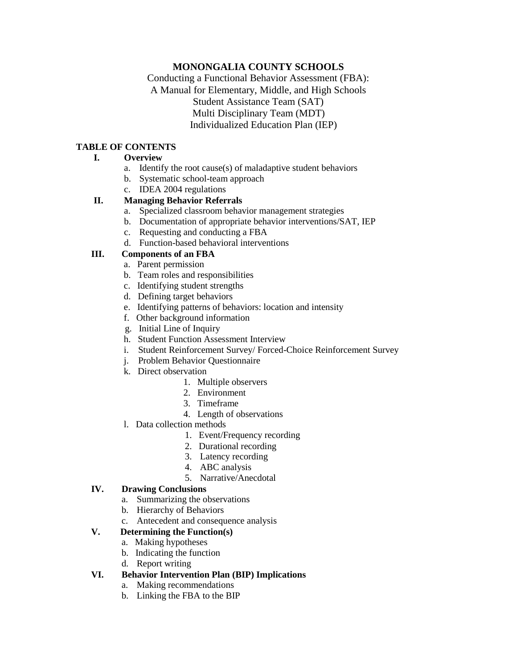## **MONONGALIA COUNTY SCHOOLS**

Conducting a Functional Behavior Assessment (FBA): A Manual for Elementary, Middle, and High Schools Student Assistance Team (SAT) Multi Disciplinary Team (MDT) Individualized Education Plan (IEP)

#### **TABLE OF CONTENTS**

#### **I. Overview**

- a. Identify the root cause(s) of maladaptive student behaviors
- b. Systematic school-team approach
- c. IDEA 2004 regulations

### **II. Managing Behavior Referrals**

- a. Specialized classroom behavior management strategies
- b. Documentation of appropriate behavior interventions/SAT, IEP
- c. Requesting and conducting a FBA
- d. Function-based behavioral interventions

## **III. Components of an FBA**

- a. Parent permission
- b. Team roles and responsibilities
- c. Identifying student strengths
- d. Defining target behaviors
- e. Identifying patterns of behaviors: location and intensity
- f. Other background information
- g. Initial Line of Inquiry
- h. Student Function Assessment Interview
- i. Student Reinforcement Survey/ Forced-Choice Reinforcement Survey
- j. Problem Behavior Questionnaire
- k. Direct observation
	- 1. Multiple observers
	- 2. Environment
	- 3. Timeframe
	- 4. Length of observations
- l. Data collection methods
	- 1. Event/Frequency recording
	- 2. Durational recording
	- 3. Latency recording
	- 4. ABC analysis
	- 5. Narrative/Anecdotal

### **IV. Drawing Conclusions**

- a. Summarizing the observations
- b. Hierarchy of Behaviors
- c. Antecedent and consequence analysis

### **V. Determining the Function(s)**

- a. Making hypotheses
- b. Indicating the function
- d. Report writing
- **VI. Behavior Intervention Plan (BIP) Implications**
	- a. Making recommendations
	- b. Linking the FBA to the BIP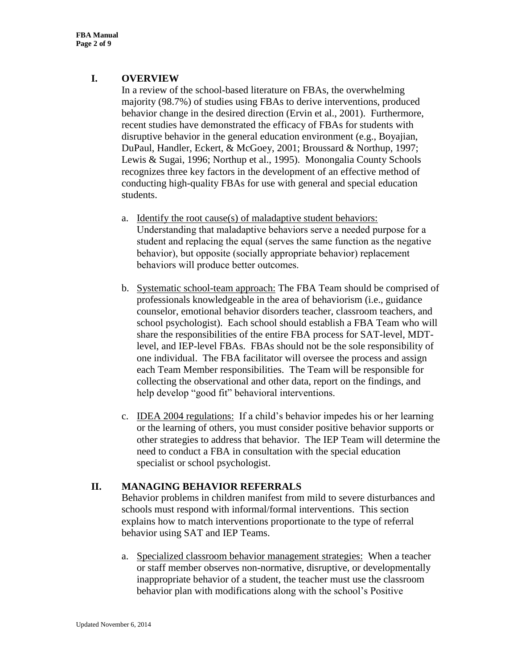# **I. OVERVIEW**

In a review of the school-based literature on FBAs, the overwhelming majority (98.7%) of studies using FBAs to derive interventions, produced behavior change in the desired direction (Ervin et al., 2001). Furthermore, recent studies have demonstrated the efficacy of FBAs for students with disruptive behavior in the general education environment (e.g., Boyajian, DuPaul, Handler, Eckert, & McGoey, 2001; Broussard & Northup, 1997; Lewis & Sugai, 1996; Northup et al., 1995). Monongalia County Schools recognizes three key factors in the development of an effective method of conducting high-quality FBAs for use with general and special education students.

- a. Identify the root cause(s) of maladaptive student behaviors: Understanding that maladaptive behaviors serve a needed purpose for a student and replacing the equal (serves the same function as the negative behavior), but opposite (socially appropriate behavior) replacement behaviors will produce better outcomes.
- b. Systematic school-team approach: The FBA Team should be comprised of professionals knowledgeable in the area of behaviorism (i.e., guidance counselor, emotional behavior disorders teacher, classroom teachers, and school psychologist). Each school should establish a FBA Team who will share the responsibilities of the entire FBA process for SAT-level, MDTlevel, and IEP-level FBAs. FBAs should not be the sole responsibility of one individual. The FBA facilitator will oversee the process and assign each Team Member responsibilities. The Team will be responsible for collecting the observational and other data, report on the findings, and help develop "good fit" behavioral interventions.
- c. IDEA 2004 regulations: If a child's behavior impedes his or her learning or the learning of others, you must consider positive behavior supports or other strategies to address that behavior. The IEP Team will determine the need to conduct a FBA in consultation with the special education specialist or school psychologist.

# **II. MANAGING BEHAVIOR REFERRALS**

Behavior problems in children manifest from mild to severe disturbances and schools must respond with informal/formal interventions. This section explains how to match interventions proportionate to the type of referral behavior using SAT and IEP Teams.

a. Specialized classroom behavior management strategies: When a teacher or staff member observes non-normative, disruptive, or developmentally inappropriate behavior of a student, the teacher must use the classroom behavior plan with modifications along with the school's Positive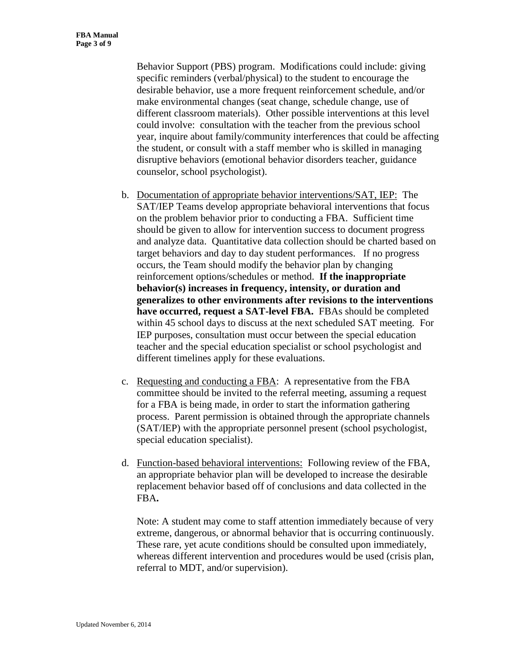Behavior Support (PBS) program. Modifications could include: giving specific reminders (verbal/physical) to the student to encourage the desirable behavior, use a more frequent reinforcement schedule, and/or make environmental changes (seat change, schedule change, use of different classroom materials). Other possible interventions at this level could involve: consultation with the teacher from the previous school year, inquire about family/community interferences that could be affecting the student, or consult with a staff member who is skilled in managing disruptive behaviors (emotional behavior disorders teacher, guidance counselor, school psychologist).

- b. Documentation of appropriate behavior interventions/SAT, IEP: The SAT/IEP Teams develop appropriate behavioral interventions that focus on the problem behavior prior to conducting a FBA. Sufficient time should be given to allow for intervention success to document progress and analyze data. Quantitative data collection should be charted based on target behaviors and day to day student performances. If no progress occurs, the Team should modify the behavior plan by changing reinforcement options/schedules or method. **If the inappropriate behavior(s) increases in frequency, intensity, or duration and generalizes to other environments after revisions to the interventions have occurred, request a SAT-level FBA.** FBAs should be completed within 45 school days to discuss at the next scheduled SAT meeting. For IEP purposes, consultation must occur between the special education teacher and the special education specialist or school psychologist and different timelines apply for these evaluations.
- c. Requesting and conducting a FBA: A representative from the FBA committee should be invited to the referral meeting, assuming a request for a FBA is being made, in order to start the information gathering process. Parent permission is obtained through the appropriate channels (SAT/IEP) with the appropriate personnel present (school psychologist, special education specialist).
- d. Function-based behavioral interventions: Following review of the FBA, an appropriate behavior plan will be developed to increase the desirable replacement behavior based off of conclusions and data collected in the FBA**.**

Note: A student may come to staff attention immediately because of very extreme, dangerous, or abnormal behavior that is occurring continuously. These rare, yet acute conditions should be consulted upon immediately, whereas different intervention and procedures would be used (crisis plan, referral to MDT, and/or supervision).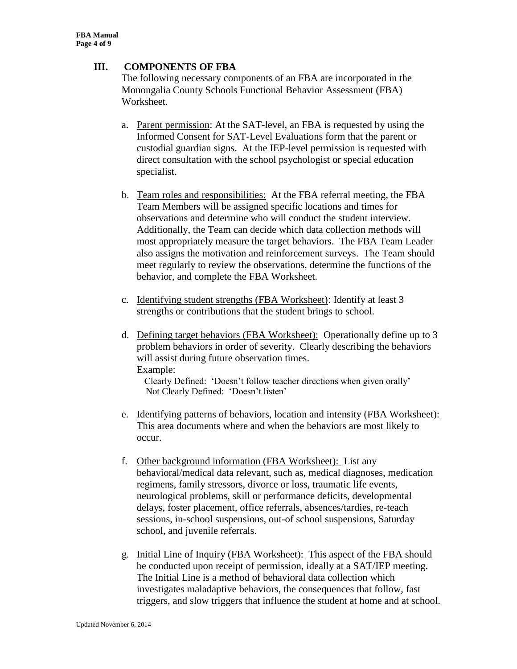## **III. COMPONENTS OF FBA**

The following necessary components of an FBA are incorporated in the Monongalia County Schools Functional Behavior Assessment (FBA) Worksheet.

- a. Parent permission: At the SAT-level, an FBA is requested by using the Informed Consent for SAT-Level Evaluations form that the parent or custodial guardian signs. At the IEP-level permission is requested with direct consultation with the school psychologist or special education specialist.
- b. Team roles and responsibilities: At the FBA referral meeting, the FBA Team Members will be assigned specific locations and times for observations and determine who will conduct the student interview. Additionally, the Team can decide which data collection methods will most appropriately measure the target behaviors. The FBA Team Leader also assigns the motivation and reinforcement surveys. The Team should meet regularly to review the observations, determine the functions of the behavior, and complete the FBA Worksheet.
- c. Identifying student strengths (FBA Worksheet): Identify at least 3 strengths or contributions that the student brings to school.
- d. Defining target behaviors (FBA Worksheet): Operationally define up to 3 problem behaviors in order of severity. Clearly describing the behaviors will assist during future observation times. Example:

 Clearly Defined: 'Doesn't follow teacher directions when given orally' Not Clearly Defined: 'Doesn't listen'

- e. Identifying patterns of behaviors, location and intensity (FBA Worksheet): This area documents where and when the behaviors are most likely to occur.
- f. Other background information (FBA Worksheet): List any behavioral/medical data relevant, such as, medical diagnoses, medication regimens, family stressors, divorce or loss, traumatic life events, neurological problems, skill or performance deficits, developmental delays, foster placement, office referrals, absences/tardies, re-teach sessions, in-school suspensions, out-of school suspensions, Saturday school, and juvenile referrals.
- g. Initial Line of Inquiry (FBA Worksheet): This aspect of the FBA should be conducted upon receipt of permission, ideally at a SAT/IEP meeting. The Initial Line is a method of behavioral data collection which investigates maladaptive behaviors, the consequences that follow, fast triggers, and slow triggers that influence the student at home and at school.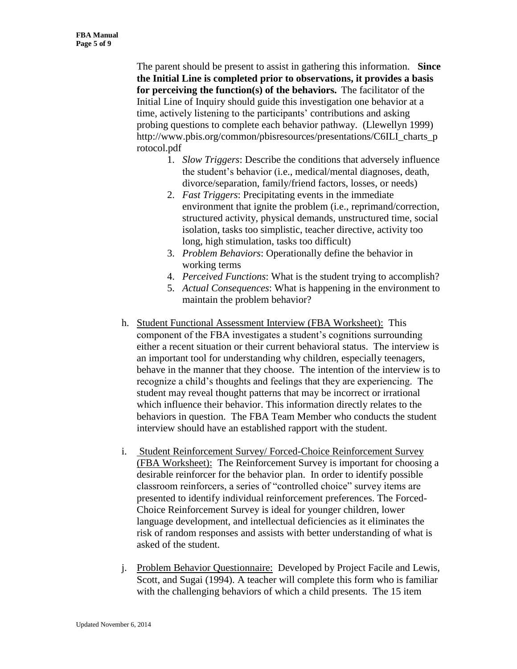The parent should be present to assist in gathering this information. **Since the Initial Line is completed prior to observations, it provides a basis for perceiving the function(s) of the behaviors.** The facilitator of the Initial Line of Inquiry should guide this investigation one behavior at a time, actively listening to the participants' contributions and asking probing questions to complete each behavior pathway. (Llewellyn 1999) http://www.pbis.org/common/pbisresources/presentations/C6ILI\_charts\_p\_ rotocol.pdf

- 1. *Slow Triggers*: Describe the conditions that adversely influence the student's behavior (i.e., medical/mental diagnoses, death, divorce/separation, family/friend factors, losses, or needs)
- 2. *Fast Triggers*: Precipitating events in the immediate environment that ignite the problem (i.e., reprimand/correction, structured activity, physical demands, unstructured time, social isolation, tasks too simplistic, teacher directive, activity too long, high stimulation, tasks too difficult)
- 3. *Problem Behaviors*: Operationally define the behavior in working terms
- 4. *Perceived Functions*: What is the student trying to accomplish?
- 5. *Actual Consequences*: What is happening in the environment to maintain the problem behavior?
- h. Student Functional Assessment Interview (FBA Worksheet): This component of the FBA investigates a student's cognitions surrounding either a recent situation or their current behavioral status. The interview is an important tool for understanding why children, especially teenagers, behave in the manner that they choose. The intention of the interview is to recognize a child's thoughts and feelings that they are experiencing. The student may reveal thought patterns that may be incorrect or irrational which influence their behavior. This information directly relates to the behaviors in question. The FBA Team Member who conducts the student interview should have an established rapport with the student.
- i. Student Reinforcement Survey/ Forced-Choice Reinforcement Survey (FBA Worksheet): The Reinforcement Survey is important for choosing a desirable reinforcer for the behavior plan. In order to identify possible classroom reinforcers, a series of "controlled choice" survey items are presented to identify individual reinforcement preferences. The Forced-Choice Reinforcement Survey is ideal for younger children, lower language development, and intellectual deficiencies as it eliminates the risk of random responses and assists with better understanding of what is asked of the student.
- j. Problem Behavior Questionnaire: Developed by Project Facile and Lewis, Scott, and Sugai (1994). A teacher will complete this form who is familiar with the challenging behaviors of which a child presents. The 15 item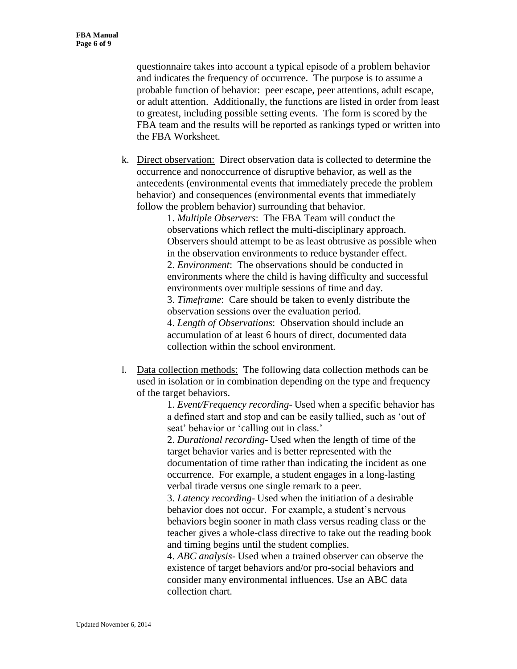questionnaire takes into account a typical episode of a problem behavior and indicates the frequency of occurrence. The purpose is to assume a probable function of behavior: peer escape, peer attentions, adult escape, or adult attention. Additionally, the functions are listed in order from least to greatest, including possible setting events. The form is scored by the FBA team and the results will be reported as rankings typed or written into the FBA Worksheet.

k. Direct observation: Direct observation data is collected to determine the occurrence and nonoccurrence of disruptive behavior, as well as the antecedents (environmental events that immediately precede the problem behavior) and consequences (environmental events that immediately follow the problem behavior) surrounding that behavior.

> 1. *Multiple Observers*: The FBA Team will conduct the observations which reflect the multi-disciplinary approach. Observers should attempt to be as least obtrusive as possible when in the observation environments to reduce bystander effect. 2. *Environment*: The observations should be conducted in environments where the child is having difficulty and successful environments over multiple sessions of time and day. 3. *Timeframe*: Care should be taken to evenly distribute the observation sessions over the evaluation period. 4. *Length of Observations*: Observation should include an accumulation of at least 6 hours of direct, documented data collection within the school environment.

l. Data collection methods: The following data collection methods can be used in isolation or in combination depending on the type and frequency of the target behaviors.

> 1. *Event/Frequency recording*- Used when a specific behavior has a defined start and stop and can be easily tallied, such as 'out of seat' behavior or 'calling out in class.'

2. *Durational recording*- Used when the length of time of the target behavior varies and is better represented with the documentation of time rather than indicating the incident as one occurrence. For example, a student engages in a long-lasting verbal tirade versus one single remark to a peer.

3. *Latency recording*- Used when the initiation of a desirable behavior does not occur. For example, a student's nervous behaviors begin sooner in math class versus reading class or the teacher gives a whole-class directive to take out the reading book and timing begins until the student complies.

4. *ABC analysis*- Used when a trained observer can observe the existence of target behaviors and/or pro-social behaviors and consider many environmental influences. Use an ABC data collection chart.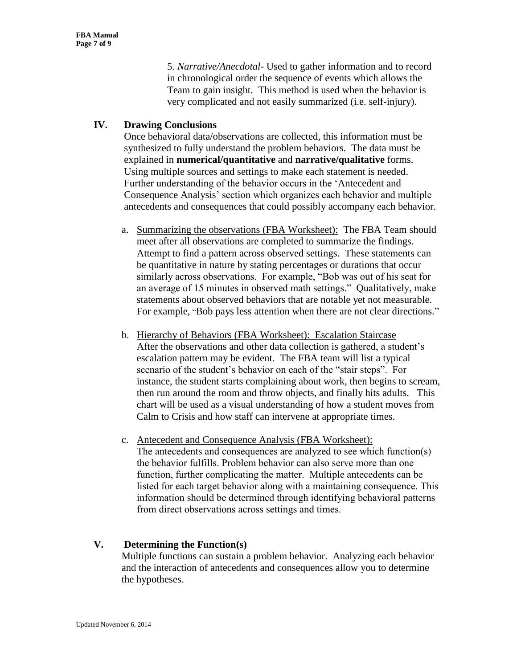5. *Narrative/Anecdotal*- Used to gather information and to record in chronological order the sequence of events which allows the Team to gain insight. This method is used when the behavior is very complicated and not easily summarized (i.e. self-injury).

## **IV. Drawing Conclusions**

Once behavioral data/observations are collected, this information must be synthesized to fully understand the problem behaviors. The data must be explained in **numerical/quantitative** and **narrative/qualitative** forms. Using multiple sources and settings to make each statement is needed. Further understanding of the behavior occurs in the 'Antecedent and Consequence Analysis' section which organizes each behavior and multiple antecedents and consequences that could possibly accompany each behavior.

- a. Summarizing the observations (FBA Worksheet): The FBA Team should meet after all observations are completed to summarize the findings. Attempt to find a pattern across observed settings. These statements can be quantitative in nature by stating percentages or durations that occur similarly across observations. For example, "Bob was out of his seat for an average of 15 minutes in observed math settings." Qualitatively, make statements about observed behaviors that are notable yet not measurable. For example, "Bob pays less attention when there are not clear directions."
- b. Hierarchy of Behaviors (FBA Worksheet): Escalation Staircase After the observations and other data collection is gathered, a student's escalation pattern may be evident. The FBA team will list a typical scenario of the student's behavior on each of the "stair steps". For instance, the student starts complaining about work, then begins to scream, then run around the room and throw objects, and finally hits adults. This chart will be used as a visual understanding of how a student moves from Calm to Crisis and how staff can intervene at appropriate times.
- c. Antecedent and Consequence Analysis (FBA Worksheet): The antecedents and consequences are analyzed to see which function(s) the behavior fulfills. Problem behavior can also serve more than one function, further complicating the matter. Multiple antecedents can be listed for each target behavior along with a maintaining consequence. This information should be determined through identifying behavioral patterns from direct observations across settings and times.

# **V. Determining the Function(s)**

Multiple functions can sustain a problem behavior. Analyzing each behavior and the interaction of antecedents and consequences allow you to determine the hypotheses.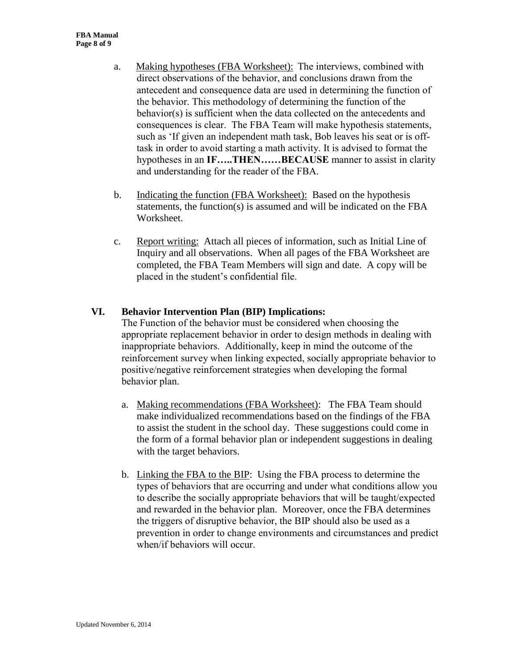- a. Making hypotheses (FBA Worksheet): The interviews, combined with direct observations of the behavior, and conclusions drawn from the antecedent and consequence data are used in determining the function of the behavior. This methodology of determining the function of the behavior(s) is sufficient when the data collected on the antecedents and consequences is clear. The FBA Team will make hypothesis statements, such as 'If given an independent math task, Bob leaves his seat or is offtask in order to avoid starting a math activity. It is advised to format the hypotheses in an **IF…..THEN……BECAUSE** manner to assist in clarity and understanding for the reader of the FBA.
- b. Indicating the function (FBA Worksheet): Based on the hypothesis statements, the function(s) is assumed and will be indicated on the FBA Worksheet.
- c. Report writing: Attach all pieces of information, such as Initial Line of Inquiry and all observations. When all pages of the FBA Worksheet are completed, the FBA Team Members will sign and date. A copy will be placed in the student's confidential file.

## **VI. Behavior Intervention Plan (BIP) Implications:**

The Function of the behavior must be considered when choosing the appropriate replacement behavior in order to design methods in dealing with inappropriate behaviors. Additionally, keep in mind the outcome of the reinforcement survey when linking expected, socially appropriate behavior to positive/negative reinforcement strategies when developing the formal behavior plan.

- a. Making recommendations (FBA Worksheet): The FBA Team should make individualized recommendations based on the findings of the FBA to assist the student in the school day. These suggestions could come in the form of a formal behavior plan or independent suggestions in dealing with the target behaviors.
- b. Linking the FBA to the BIP: Using the FBA process to determine the types of behaviors that are occurring and under what conditions allow you to describe the socially appropriate behaviors that will be taught/expected and rewarded in the behavior plan. Moreover, once the FBA determines the triggers of disruptive behavior, the BIP should also be used as a prevention in order to change environments and circumstances and predict when/if behaviors will occur.